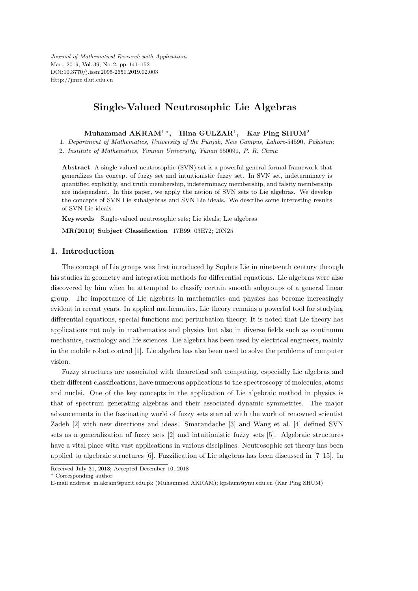Journal of Mathematical Research with Applications Mar., 2019, Vol. 39, No. 2, pp. 141–152 DOI:10.3770/j.issn:2095-2651.2019.02.003 Http://jmre.dlut.edu.cn

## Single-Valued Neutrosophic Lie Algebras

Muhammad AKRAM<sup>1,\*</sup>, Hina GULZAR<sup>1</sup>, Kar Ping SHUM<sup>2</sup>

1. Department of Mathematics, University of the Punjab, New Campus, Lahore-54590, Pakistan; 2. Institute of Mathematics, Yunnan University, Yunan 650091, P. R. China

Abstract A single-valued neutrosophic (SVN) set is a powerful general formal framework that generalizes the concept of fuzzy set and intuitionistic fuzzy set. In SVN set, indeterminacy is quantified explicitly, and truth membership, indeterminacy membership, and falsity membership are independent. In this paper, we apply the notion of SVN sets to Lie algebras. We develop the concepts of SVN Lie subalgebras and SVN Lie ideals. We describe some interesting results of SVN Lie ideals.

Keywords Single-valued neutrosophic sets; Lie ideals; Lie algebras

MR(2010) Subject Classification 17B99; 03E72; 20N25

### 1. Introduction

The concept of Lie groups was first introduced by Sophus Lie in nineteenth century through his studies in geometry and integration methods for differential equations. Lie algebras were also discovered by him when he attempted to classify certain smooth subgroups of a general linear group. The importance of Lie algebras in mathematics and physics has become increasingly evident in recent years. In applied mathematics, Lie theory remains a powerful tool for studying differential equations, special functions and perturbation theory. It is noted that Lie theory has applications not only in mathematics and physics but also in diverse fields such as continuum mechanics, cosmology and life sciences. Lie algebra has been used by electrical engineers, mainly in the mobile robot control [1]. Lie algebra has also been used to solve the problems of computer vision.

Fuzzy structures are associated with theoretical soft computing, especially Lie algebras and their different classifications, have numerous applications to the spectroscopy of molecules, atoms and nuclei. One of the key concepts in the application of Lie algebraic method in physics is that of spectrum generating algebras and their associated dynamic symmetries. The major advancements in the fascinating world of fuzzy sets started with the work of renowned scientist Zadeh [2] with new directions and ideas. Smarandache [3] and Wang et al. [4] defined SVN sets as a generalization of fuzzy sets [2] and intuitionistic fuzzy sets [5]. Algebraic structures have a vital place with vast applications in various disciplines. Neutrosophic set theory has been applied to algebraic structures [6]. Fuzzification of Lie algebras has been discussed in [7–15]. In

Received July 31, 2018; Accepted December 10, 2018

\* Corresponding author

E-mail address: m.akram@pucit.edu.pk (Muhammad AKRAM); kpshum@ynu.edu.cn (Kar Ping SHUM)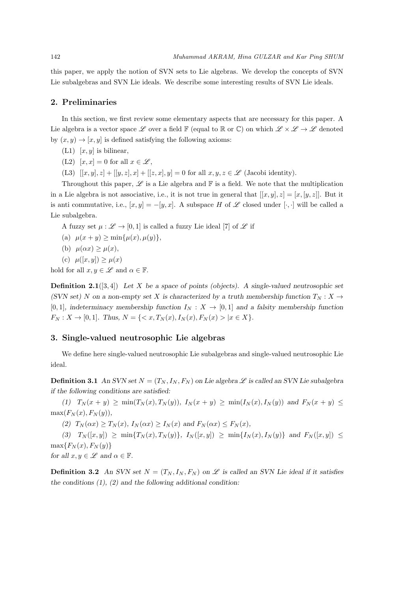this paper, we apply the notion of SVN sets to Lie algebras. We develop the concepts of SVN Lie subalgebras and SVN Lie ideals. We describe some interesting results of SVN Lie ideals.

#### 2. Preliminaries

In this section, we first review some elementary aspects that are necessary for this paper. A Lie algebra is a vector space L over a field F (equal to R or C) on which  $\mathcal{L} \times \mathcal{L} \to \mathcal{L}$  denoted by  $(x, y) \rightarrow [x, y]$  is defined satisfying the following axioms:

- $(L1)$  [x, y] is bilinear,
- (L2)  $[x, x] = 0$  for all  $x \in \mathscr{L}$ ,
- (L3)  $[[x, y], z] + [[y, z], x] + [[z, x], y] = 0$  for all  $x, y, z \in \mathscr{L}$  (Jacobi identity).

Throughout this paper,  $\mathscr L$  is a Lie algebra and  $\mathbb F$  is a field. We note that the multiplication in a Lie algebra is not associative, i.e., it is not true in general that  $[[x, y], z] = [x, [y, z]]$ . But it is anti commutative, i.e.,  $[x, y] = -[y, x]$ . A subspace H of  $\mathscr L$  closed under [·, ·] will be called a Lie subalgebra.

A fuzzy set  $\mu : \mathscr{L} \to [0, 1]$  is called a fuzzy Lie ideal [7] of  $\mathscr{L}$  if

- (a)  $\mu(x + y) > \min{\{\mu(x), \mu(y)\}},$
- (b)  $\mu(\alpha x) \geq \mu(x)$ ,
- (c)  $\mu([x, y]) > \mu(x)$

hold for all  $x, y \in \mathscr{L}$  and  $\alpha \in \mathbb{F}$ .

Definition 2.1([3, 4]) *Let* X *be a space of points (objects). A single-valued neutrosophic set (SVN set)* N on a non-empty set X is characterized by a truth membership function  $T_N$  : X  $\rightarrow$ [0, 1]*, indeterminacy membership function*  $I_N : X \to [0,1]$  *and a falsity membership function*  $F_N: X \to [0,1].$  Thus,  $N = \{ \langle x, T_N(x), I_N(x), F_N(x) \rangle | x \in X \}.$ 

### 3. Single-valued neutrosophic Lie algebras

We define here single-valued neutrosophic Lie subalgebras and single-valued neutrosophic Lie ideal.

**Definition 3.1** An SVN set  $N = (T_N, I_N, F_N)$  on Lie algebra  $\mathscr L$  is called an SVN Lie subalgebra *if the following conditions are satisfied:*

 $(1)$   $T_N(x + y) \geq \min(T_N(x), T_N(y)),$   $I_N(x + y) \geq \min(I_N(x), I_N(y))$  and  $F_N(x + y) \leq$  $max(F_N(x), F_N(y)),$ 

(2)  $T_N(\alpha x) \ge T_N(x)$ ,  $I_N(\alpha x) \ge I_N(x)$  and  $F_N(\alpha x) \le F_N(x)$ ,

 $(3)$   $T_N([x,y]) \geq \min\{T_N(x), T_N(y)\},$   $I_N([x,y]) \geq \min\{I_N(x), I_N(y)\}\$  and  $F_N([x,y]) \leq$  $\max\{F_N(x), F_N(y)\}\$ 

*for all*  $x, y \in \mathscr{L}$  *and*  $\alpha \in \mathbb{F}$ *.* 

**Definition 3.2** An SVN set  $N = (T_N, I_N, F_N)$  on  $\mathscr L$  is called an SVN Lie ideal if it satisfies *the conditions (1), (2) and the following additional condition:*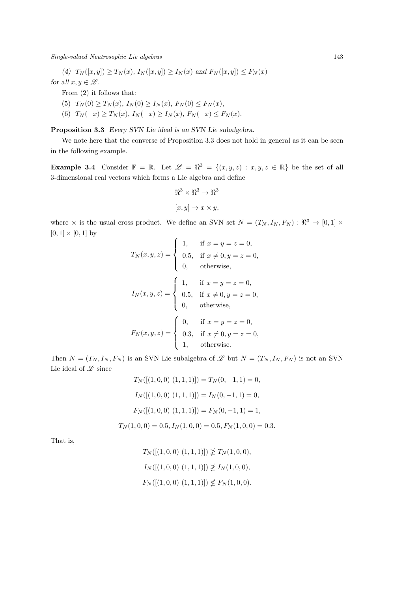Single-valued Neutrosophic Lie algebras 143

*(4)*  $T_N([x, y]) \ge T_N(x)$ ,  $I_N([x, y]) \ge I_N(x)$  and  $F_N([x, y]) \le F_N(x)$ 

*for all*  $x, y \in \mathcal{L}$ *.* 

From (2) it follows that:

- (5)  $T_N(0) \geq T_N(x)$ ,  $I_N(0) \geq I_N(x)$ ,  $F_N(0) \leq F_N(x)$ ,
- (6)  $T_N(-x) \ge T_N(x)$ ,  $I_N(-x) \ge I_N(x)$ ,  $F_N(-x) \le F_N(x)$ .

Proposition 3.3 *Every SVN Lie ideal is an SVN Lie subalgebra.*

We note here that the converse of Proposition 3.3 does not hold in general as it can be seen in the following example.

**Example 3.4** Consider  $\mathbb{F} = \mathbb{R}$ . Let  $\mathscr{L} = \mathbb{R}^3 = \{(x, y, z) : x, y, z \in \mathbb{R}\}$  be the set of all 3-dimensional real vectors which forms a Lie algebra and define

$$
\mathbb{R}^3 \times \mathbb{R}^3 \to \mathbb{R}^3
$$

$$
[x, y] \to x \times y,
$$

where  $\times$  is the usual cross product. We define an SVN set  $N = (T_N, I_N, F_N) : \Re^3 \to [0,1] \times$  $[0, 1] \times [0, 1]$  by

$$
T_N(x, y, z) = \begin{cases} 1, & \text{if } x = y = z = 0, \\ 0.5, & \text{if } x \neq 0, y = z = 0, \\ 0, & \text{otherwise,} \end{cases}
$$
  

$$
I_N(x, y, z) = \begin{cases} 1, & \text{if } x = y = z = 0, \\ 0.5, & \text{if } x \neq 0, y = z = 0, \\ 0, & \text{otherwise,} \end{cases}
$$
  

$$
F_N(x, y, z) = \begin{cases} 0, & \text{if } x = y = z = 0, \\ 0.3, & \text{if } x \neq 0, y = z = 0, \\ 1, & \text{otherwise.} \end{cases}
$$

Then  $N = (T_N, I_N, F_N)$  is an SVN Lie subalgebra of  $\mathscr L$  but  $N = (T_N, I_N, F_N)$  is not an SVN Lie ideal of  ${\mathscr L}$  since

$$
T_N([(1, 0, 0) (1, 1, 1)]) = T_N(0, -1, 1) = 0,
$$
  
\n
$$
I_N([(1, 0, 0) (1, 1, 1)]) = I_N(0, -1, 1) = 0,
$$
  
\n
$$
F_N([(1, 0, 0) (1, 1, 1)]) = F_N(0, -1, 1) = 1,
$$
  
\n
$$
T_N(1, 0, 0) = 0.5, I_N(1, 0, 0) = 0.5, F_N(1, 0, 0) = 0.3.
$$

That is,

$$
T_N([[1, 0, 0) (1, 1, 1)]) \not\geq T_N(1, 0, 0),
$$
  
\n
$$
I_N([[1, 0, 0) (1, 1, 1)]) \not\geq I_N(1, 0, 0),
$$
  
\n
$$
F_N([[1, 0, 0) (1, 1, 1)]) \not\leq F_N(1, 0, 0).
$$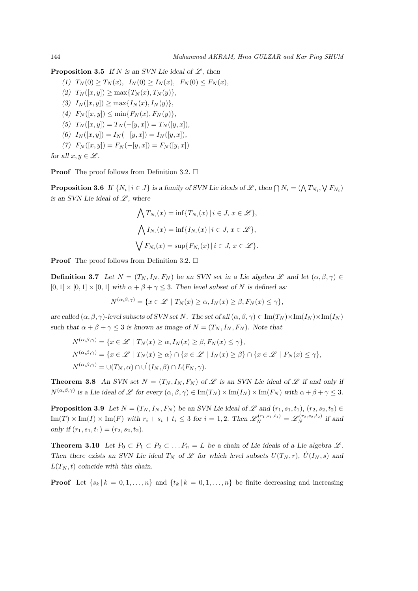**Proposition 3.5** *If* N is an SVN Lie ideal of  $\mathscr{L}$ , then

 $(T)$   $T_N(0) > T_N(x)$ ,  $I_N(0) > I_N(x)$ ,  $F_N(0) < F_N(x)$ ,  $(T_N([x, y]) > \max\{T_N(x), T_N(y)\},$ *(3)*  $I_N([x, y]) \ge \max\{I_N(x), I_N(y)\},$ *(4)*  $F_N([x, y]) \le \min\{F_N(x), F_N(y)\},$  $(T_0(T_N([x,y]) = T_N(-[y,x]) = T_N([y,x]),$ *(6)*  $I_N([x, y]) = I_N(-[y, x]) = I_N([y, x]),$ *(7)*  $F_N([x, y]) = F_N(-[y, x]) = F_N([y, x])$ 

```
for all x, y \in \mathcal{L}.
```
**Proof** The proof follows from Definition 3.2.  $\Box$ 

**Proposition 3.6** If  $\{N_i | i \in J\}$  is a family of SVN Lie ideals of L, then  $\bigcap N_i = (\bigwedge T_{N_i}, \bigvee F_{N_i})$ *is an SVN Lie ideal of*  $\mathscr{L}$ *, where* 

$$
\bigwedge T_{N_i}(x) = \inf \{ T_{N_i}(x) \mid i \in J, x \in \mathcal{L} \},
$$
  

$$
\bigwedge I_{N_i}(x) = \inf \{ I_{N_i}(x) \mid i \in J, x \in \mathcal{L} \},
$$
  

$$
\bigvee F_{N_i}(x) = \sup \{ F_{N_i}(x) \mid i \in J, x \in \mathcal{L} \}.
$$

**Proof** The proof follows from Definition 3.2.  $\Box$ 

**Definition 3.7** Let  $N = (T_N, I_N, F_N)$  be an SVN set in a Lie algebra  $\mathscr L$  and let  $(\alpha, \beta, \gamma) \in$  $[0, 1] \times [0, 1] \times [0, 1]$  *with*  $\alpha + \beta + \gamma \leq 3$ . Then level subset of N is defined as:

$$
N^{(\alpha,\beta,\gamma)} = \{ x \in \mathcal{L} \mid T_N(x) \ge \alpha, I_N(x) \ge \beta, F_N(x) \le \gamma \},\
$$

*are called*  $(\alpha, \beta, \gamma)$ -level subsets of SVN set N. The set of all  $(\alpha, \beta, \gamma) \in \text{Im}(T_N) \times \text{Im}(I_N) \times \text{Im}(I_N)$ such that  $\alpha + \beta + \gamma \leq 3$  *is known as image of*  $N = (T_N, I_N, F_N)$ *. Note that* 

$$
N^{(\alpha,\beta,\gamma)} = \{x \in \mathcal{L} \mid T_N(x) \ge \alpha, I_N(x) \ge \beta, F_N(x) \le \gamma\},
$$
  
\n
$$
N^{(\alpha,\beta,\gamma)} = \{x \in \mathcal{L} \mid T_N(x) \ge \alpha\} \cap \{x \in \mathcal{L} \mid I_N(x) \ge \beta\} \cap \{x \in \mathcal{L} \mid F_N(x) \le \gamma\},
$$
  
\n
$$
N^{(\alpha,\beta,\gamma)} = \cup(T_N, \alpha) \cap \cup'(I_N, \beta) \cap L(F_N, \gamma).
$$

**Theorem 3.8** An SVN set  $N = (T_N, I_N, F_N)$  of  $\mathscr L$  is an SVN Lie ideal of  $\mathscr L$  if and only if  $N^{(\alpha,\beta,\gamma)}$  *is a Lie ideal of L* for every  $(\alpha,\beta,\gamma) \in \text{Im}(T_N) \times \text{Im}(I_N) \times \text{Im}(F_N)$  *with*  $\alpha + \beta + \gamma \leq 3$ .

**Proposition 3.9** Let  $N = (T_N, I_N, F_N)$  be an SVN Lie ideal of  $\mathscr L$  and  $(r_1, s_1, t_1), (r_2, s_2, t_2) \in$  $\text{Im}(T) \times \text{Im}(I) \times \text{Im}(F)$  with  $r_i + s_i + t_i \leq 3$  for  $i = 1, 2$ . Then  $\mathscr{L}_N^{(r_1, s_1, t_1)} = \mathscr{L}_N^{(r_2, s_2, t_2)}$  if and *only if*  $(r_1, s_1, t_1) = (r_2, s_2, t_2)$ *.* 

**Theorem 3.10** Let  $P_0 \subset P_1 \subset P_2 \subset \ldots P_n = L$  be a chain of Lie ideals of a Lie algebra  $\mathscr{L}$ . *Then there exists an SVN Lie ideal*  $T_N$  *of*  $\mathscr L$  *for which level subsets*  $U(T_N, r)$ *,*  $\dot{U}(I_N, s)$  *and*  $L(T_N, t)$  *coincide with this chain.* 

**Proof** Let  $\{s_k | k = 0, 1, \ldots, n\}$  and  $\{t_k | k = 0, 1, \ldots, n\}$  be finite decreasing and increasing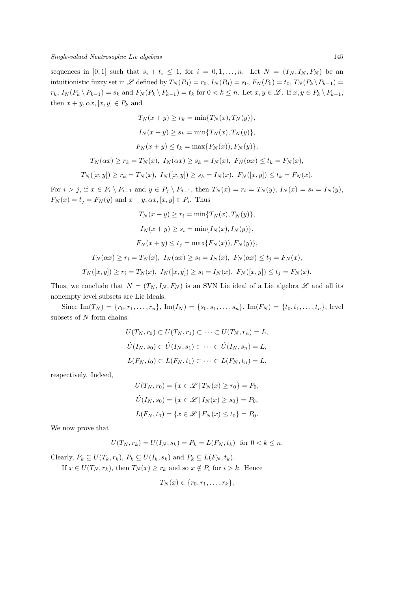sequences in [0, 1] such that  $s_i + t_i \leq 1$ , for  $i = 0, 1, \ldots, n$ . Let  $N = (T_N, I_N, F_N)$  be an intuitionistic fuzzy set in L defined by  $T_N(P_0) = r_0$ ,  $I_N(P_0) = s_0$ ,  $F_N(P_0) = t_0$ ,  $T_N(P_k \backslash P_{k-1}) =$  $r_k$ ,  $I_N(P_k \setminus P_{k-1}) = s_k$  and  $F_N(P_k \setminus P_{k-1}) = t_k$  for  $0 < k \leq n$ . Let  $x, y \in \mathscr{L}$ . If  $x, y \in P_k \setminus P_{k-1}$ , then  $x + y, \alpha x, [x, y] \in P_k$  and

$$
T_N(x + y) \ge r_k = \min\{T_N(x), T_N(y)\},
$$
  
\n
$$
I_N(x + y) \ge s_k = \min\{T_N(x), T_N(y)\},
$$
  
\n
$$
F_N(x + y) \le t_k = \max\{F_N(x)\}, F_N(y)\},
$$
  
\n
$$
T_N(\alpha x) \ge r_k = T_N(x), \ I_N(\alpha x) \ge s_k = I_N(x), \ F_N(\alpha x) \le t_k = F_N(x),
$$
  
\n
$$
T_N([x, y]) \ge r_k = T_N(x), \ I_N([x, y]) \ge s_k = I_N(x), \ F_N([x, y]) \le t_k = F_N(x).
$$
  
\n, if  $x \in P_i \setminus P_{i-1}$  and  $y \in P_j \setminus P_{j-1}$ , then  $T_N(x) = r_i = T_N(y), \ I_N(x) = s_i =$ 

For  $i > j$ , if  $x \in P_i \setminus P_{i-1}$  and  $y \in P_j \setminus P_{j-1}$ , then  $T_N(x) = r_i = T_N(y)$ ,  $I_N(x) = s_i = I_N(y)$ ,  $F_N(x) = t_j = F_N(y)$  and  $x + y, \alpha x, [x, y] \in P_i$ . Thus

$$
T_N(x + y) \ge r_i = \min\{T_N(x), T_N(y)\},
$$
  
\n
$$
I_N(x + y) \ge s_i = \min\{I_N(x), I_N(y)\},
$$
  
\n
$$
F_N(x + y) \le t_j = \max\{F_N(x), F_N(y)\},
$$
  
\n
$$
T_N(\alpha x) \ge r_i = T_N(x), I_N(\alpha x) \ge s_i = I_N(x), F_N(\alpha x) \le t_j = F_N(x),
$$
  
\n
$$
T_N([x, y]) \ge r_i = T_N(x), I_N([x, y]) \ge s_i = I_N(x), F_N([x, y]) \le t_j = F_N(x).
$$

Thus, we conclude that  $N = (T_N, I_N, F_N)$  is an SVN Lie ideal of a Lie algebra  $\mathscr L$  and all its nonempty level subsets are Lie ideals.

Since  $\text{Im}(T_N) = \{r_0, r_1, \ldots, r_n\}, \text{Im}(I_N) = \{s_0, s_1, \ldots, s_n\}, \text{Im}(F_N) = \{t_0, t_1, \ldots, t_n\},$  level subsets of  $N$  form chains:

$$
U(T_N, r_0) \subset U(T_N, r_1) \subset \cdots \subset U(T_N, r_n) = L,
$$
  

$$
\acute{U}(I_N, s_0) \subset \acute{U}(I_N, s_1) \subset \cdots \subset \acute{U}(I_N, s_n) = L,
$$
  

$$
L(F_N, t_0) \subset L(F_N, t_1) \subset \cdots \subset L(F_N, t_n) = L,
$$

respectively. Indeed,

$$
U(T_N, r_0) = \{x \in \mathcal{L} | T_N(x) \ge r_0\} = P_0,
$$
  

$$
\acute{U}(I_N, s_0) = \{x \in \mathcal{L} | I_N(x) \ge s_0\} = P_0,
$$
  

$$
L(F_N, t_0) = \{x \in \mathcal{L} | F_N(x) \le t_0\} = P_0.
$$

We now prove that

$$
U(T_N, r_k) = U(I_N, s_k) = P_k = L(F_N, t_k) \text{ for } 0 < k \le n.
$$

Clearly,  $P_k \subseteq U(T_k, r_k)$ ,  $P_k \subseteq U(I_k, s_k)$  and  $P_k \subseteq L(F_N, t_k)$ . If  $x \in U(T_N, r_k)$ , then  $T_N(x) \geq r_k$  and so  $x \notin P_i$  for  $i > k$ . Hence

$$
T_N(x) \in \{r_0, r_1, \ldots, r_k\},\
$$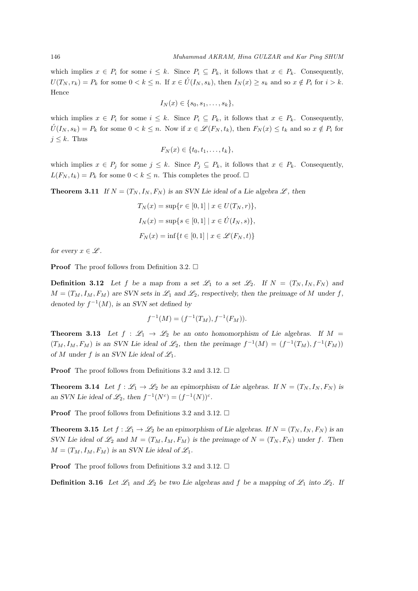which implies  $x \in P_i$  for some  $i \leq k$ . Since  $P_i \subseteq P_k$ , it follows that  $x \in P_k$ . Consequently,  $U(T_N, r_k) = P_k$  for some  $0 < k \leq n$ . If  $x \in \hat{U}(I_N, s_k)$ , then  $I_N(x) \geq s_k$  and so  $x \notin P_i$  for  $i > k$ . Hence

$$
I_N(x) \in \{s_0, s_1, \ldots, s_k\},\
$$

which implies  $x \in P_i$  for some  $i \leq k$ . Since  $P_i \subseteq P_k$ , it follows that  $x \in P_k$ . Consequently,  $\hat{U}(I_N, s_k) = P_k$  for some  $0 < k \leq n$ . Now if  $x \in \mathscr{L}(F_N, t_k)$ , then  $F_N(x) \leq t_k$  and so  $x \notin P_i$  for  $j \leq k$ . Thus

$$
F_N(x) \in \{t_0, t_1, \ldots, t_k\},\
$$

which implies  $x \in P_j$  for some  $j \leq k$ . Since  $P_j \subseteq P_k$ , it follows that  $x \in P_k$ . Consequently,  $L(F_N, t_k) = P_k$  for some  $0 < k \leq n$ . This completes the proof.  $\Box$ 

**Theorem 3.11** *If*  $N = (T_N, I_N, F_N)$  *is an SVN Lie ideal of a Lie algebra*  $\mathscr{L}$ *, then* 

$$
T_N(x) = \sup\{r \in [0, 1] \mid x \in U(T_N, r)\},\
$$
  

$$
I_N(x) = \sup\{s \in [0, 1] \mid x \in \mathcal{U}(I_N, s)\},\
$$
  

$$
F_N(x) = \inf\{t \in [0, 1] \mid x \in \mathcal{L}(F_N, t)\}
$$

*for every*  $x \in \mathscr{L}$ *.* 

**Proof** The proof follows from Definition 3.2.  $\Box$ 

**Definition 3.12** Let f be a map from a set  $\mathscr{L}_1$  to a set  $\mathscr{L}_2$ . If  $N = (T_N, I_N, F_N)$  and  $M = (T_M, I_M, F_M)$  are SVN sets in  $\mathcal{L}_1$  and  $\mathcal{L}_2$ , respectively, then the preimage of M under f, *denoted by*  $f^{-1}(M)$ *, is an SVN set defined by* 

$$
f^{-1}(M) = (f^{-1}(T_M), f^{-1}(F_M)).
$$

**Theorem 3.13** Let  $f : \mathcal{L}_1 \to \mathcal{L}_2$  be an onto homomorphism of Lie algebras. If  $M =$  $(T_M, I_M, F_M)$  is an SVN Lie ideal of  $\mathscr{L}_2$ , then the preimage  $f^{-1}(M) = (f^{-1}(T_M), f^{-1}(F_M))$ *of M under*  $f$  *is an SVN Lie ideal of*  $\mathcal{L}_1$ *.* 

**Proof** The proof follows from Definitions 3.2 and 3.12.  $\Box$ 

**Theorem 3.14** Let  $f : \mathcal{L}_1 \to \mathcal{L}_2$  be an epimorphism of Lie algebras. If  $N = (T_N, I_N, F_N)$  is an SVN Lie ideal of  $\mathcal{L}_2$ , then  $f^{-1}(N^c) = (f^{-1}(N))^c$ .

**Proof** The proof follows from Definitions 3.2 and 3.12.  $\Box$ 

**Theorem 3.15** Let  $f : \mathcal{L}_1 \to \mathcal{L}_2$  be an epimorphism of Lie algebras. If  $N = (T_N, I_N, F_N)$  is an *SVN Lie ideal of*  $\mathcal{L}_2$  *and*  $M = (T_M, I_M, F_M)$  *is the preimage of*  $N = (T_N, F_N)$  *under* f. Then  $M = (T_M, I_M, F_M)$  *is an SVN Lie ideal of*  $\mathcal{L}_1$ *.* 

**Proof** The proof follows from Definitions 3.2 and 3.12.  $\Box$ 

**Definition 3.16** Let  $\mathcal{L}_1$  and  $\mathcal{L}_2$  be two Lie algebras and f be a mapping of  $\mathcal{L}_1$  into  $\mathcal{L}_2$ . If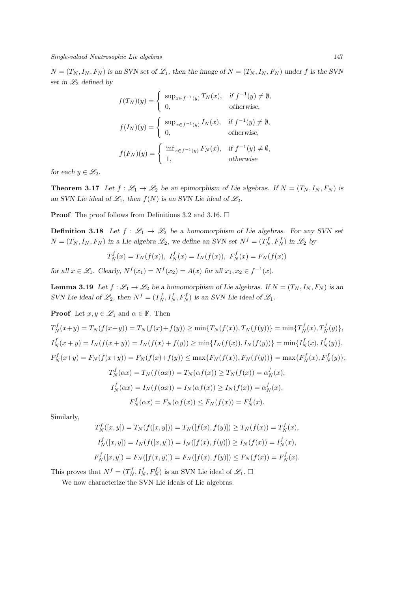Single-valued Neutrosophic Lie algebras 147

 $N = (T_N, I_N, F_N)$  *is an SVN set of*  $\mathcal{L}_1$ *, then the image of*  $N = (T_N, I_N, F_N)$  *under* f *is the SVN set in*  $\mathcal{L}_2$  *defined by* 

$$
f(T_N)(y) = \begin{cases} \sup_{x \in f^{-1}(y)} T_N(x), & \text{if } f^{-1}(y) \neq \emptyset, \\ 0, & \text{otherwise,} \end{cases}
$$
  

$$
f(I_N)(y) = \begin{cases} \sup_{x \in f^{-1}(y)} I_N(x), & \text{if } f^{-1}(y) \neq \emptyset, \\ 0, & \text{otherwise,} \end{cases}
$$
  

$$
f(F_N)(y) = \begin{cases} \inf_{x \in f^{-1}(y)} F_N(x), & \text{if } f^{-1}(y) \neq \emptyset, \\ 1, & \text{otherwise.} \end{cases}
$$

*for each*  $y \in \mathcal{L}_2$ *.* 

**Theorem 3.17** Let  $f : \mathcal{L}_1 \to \mathcal{L}_2$  be an epimorphism of Lie algebras. If  $N = (T_N, I_N, F_N)$  is an SVN Lie ideal of  $\mathcal{L}_1$ , then  $f(N)$  is an SVN Lie ideal of  $\mathcal{L}_2$ .

**Proof** The proof follows from Definitions 3.2 and 3.16.  $\Box$ 

**Definition 3.18** Let  $f : \mathcal{L}_1 \to \mathcal{L}_2$  be a homomorphism of Lie algebras. For any SVN set  $N = (T_N, I_N, F_N)$  *in a Lie algebra*  $\mathcal{L}_2$ , we define an SVN set  $N^f = (T_N^f, F_N^f)$  *in*  $\mathcal{L}_2$  *by* 

$$
T_N^f(x) = T_N(f(x)),
$$
  $I_N^f(x) = I_N(f(x)),$   $F_N^f(x) = F_N(f(x))$ 

*for all*  $x \in \mathcal{L}_1$ *. Clearly,*  $N^f(x_1) = N^f(x_2) = A(x)$  *for all*  $x_1, x_2 \in f^{-1}(x)$ *.* 

**Lemma 3.19** Let  $f : \mathcal{L}_1 \to \mathcal{L}_2$  be a homomorphism of Lie algebras. If  $N = (T_N, I_N, F_N)$  is an *SVN* Lie ideal of  $\mathcal{L}_2$ , then  $N^f = (T_N^f, I_N^f, F_N^f)$  *is an SVN* Lie ideal of  $\mathcal{L}_1$ *.* 

**Proof** Let  $x, y \in \mathscr{L}_1$  and  $\alpha \in \mathbb{F}$ . Then  $T_N^f(x+y) = T_N(f(x+y)) = T_N(f(x)+f(y)) \ge \min\{T_N(f(x)), T_N(f(y))\} = \min\{T_N^f(x), T_N^f(y)\},$  $I_N^f(x+y) = I_N(f(x+y)) = I_N(f(x) + f(y)) \ge \min\{I_N(f(x)), I_N(f(y))\} = \min\{I_N^f(x), I_N^f(y)\},$  $F_N^f(x+y) = F_N(f(x+y)) = F_N(f(x)+f(y)) \le \max\{F_N(f(x)), F_N(f(y))\} = \max\{F_N^f(x), F_N^f(y)\},$  $T_N^f(\alpha x) = T_N(f(\alpha x)) = T_N(\alpha f(x)) \ge T_N(f(x)) = \alpha_N^f(x),$  $I_N^f(\alpha x) = I_N(f(\alpha x)) = I_N(\alpha f(x)) \ge I_N(f(x)) = \alpha_N^f(x),$  $F_N^f(\alpha x) = F_N(\alpha f(x)) \le F_N(f(x)) = F_N^f(x).$ 

Similarly,

$$
T_N^f([x, y]) = T_N(f([x, y])) = T_N([f(x), f(y)]) \ge T_N(f(x)) = T_N^f(x),
$$
  
\n
$$
I_N^f([x, y]) = I_N(f([x, y])) = I_N([f(x), f(y)]) \ge I_N(f(x)) = I_N^f(x),
$$
  
\n
$$
F_N^f([x, y]) = F_N([f(x, y)]) = F_N([f(x), f(y)]) \le F_N(f(x)) = F_N^f(x).
$$

This proves that  $N^f = (T_N^f, I_N^f, F_N^f)$  is an SVN Lie ideal of  $\mathscr{L}_1$ .  $\Box$ 

We now characterize the SVN Lie ideals of Lie algebras.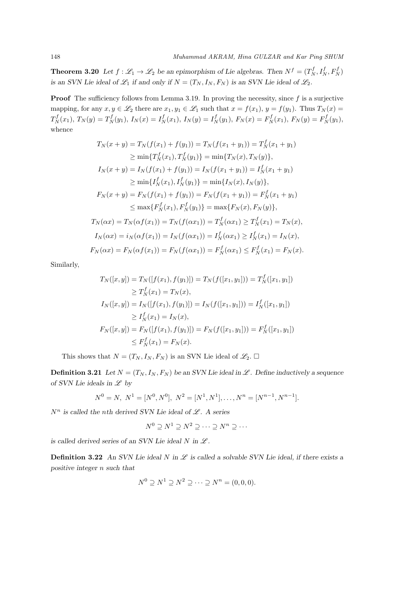**Theorem 3.20** Let  $f : \mathscr{L}_1 \to \mathscr{L}_2$  be an epimorphism of Lie algebras. Then  $N^f = (T^f_N, I^f_N, F^f_N)$ *is an SVN Lie ideal of*  $\mathscr{L}_1$  *if and only if*  $N = (T_N, I_N, F_N)$  *is an SVN Lie ideal of*  $\mathscr{L}_2$ *.* 

**Proof** The sufficiency follows from Lemma 3.19. In proving the necessity, since  $f$  is a surjective mapping, for any  $x, y \in \mathscr{L}_2$  there are  $x_1, y_1 \in \mathscr{L}_1$  such that  $x = f(x_1), y = f(y_1)$ . Thus  $T_N(x) =$  $T_N^f(x_1), T_N(y) = T_N^f(y_1), I_N(x) = I_N^f(x_1), I_N(y) = I_N^f(y_1), F_N(x) = F_N^f(x_1), F_N(y) = F_N^f(y_1),$ whence

$$
T_N(x + y) = T_N(f(x_1) + f(y_1)) = T_N(f(x_1 + y_1)) = T_N^f(x_1 + y_1)
$$
  
\n
$$
\geq \min\{T_N^f(x_1), T_N^f(y_1)\} = \min\{T_N(x), T_N(y)\},
$$
  
\n
$$
I_N(x + y) = I_N(f(x_1) + f(y_1)) = I_N(f(x_1 + y_1)) = I_N^f(x_1 + y_1)
$$
  
\n
$$
\geq \min\{I_N^f(x_1), I_N^f(y_1)\} = \min\{I_N(x), I_N(y)\},
$$
  
\n
$$
F_N(x + y) = F_N(f(x_1) + f(y_1)) = F_N(f(x_1 + y_1)) = F_N^f(x_1 + y_1)
$$
  
\n
$$
\leq \max\{F_N^f(x_1), F_N^f(y_1)\} = \max\{F_N(x), F_N(y)\},
$$
  
\n
$$
T_N(\alpha x) = T_N(\alpha f(x_1)) = T_N(f(\alpha x_1)) = T_N^f(\alpha x_1) \geq T_N^f(x_1) = T_N(x),
$$
  
\n
$$
I_N(\alpha x) = i_N(\alpha f(x_1)) = I_N(f(\alpha x_1)) = I_N^f(\alpha x_1) \geq I_N^f(x_1) = I_N(x),
$$
  
\n
$$
F_N(\alpha x) = F_N(\alpha f(x_1)) = F_N(f(\alpha x_1)) = F_N^f(\alpha x_1) \leq F_N^f(x_1) = F_N(x).
$$

Similarly,

$$
T_N([x, y]) = T_N([f(x_1), f(y_1)]) = T_N(f([x_1, y_1])) = T_N^f([x_1, y_1])
$$
  
\n
$$
\ge T_N^f(x_1) = T_N(x),
$$
  
\n
$$
I_N([x, y]) = I_N([f(x_1), f(y_1)]) = I_N(f([x_1, y_1])) = I_N^f([x_1, y_1])
$$
  
\n
$$
\ge I_N^f(x_1) = I_N(x),
$$
  
\n
$$
F_N([x, y]) = F_N([f(x_1), f(y_1)]) = F_N(f([x_1, y_1])) = F_N^f([x_1, y_1])
$$
  
\n
$$
\le F_N^f(x_1) = F_N(x).
$$

This shows that  $N = (T_N, I_N, F_N)$  is an SVN Lie ideal of  $\mathscr{L}_2$ .  $\Box$ 

**Definition 3.21** Let  $N = (T_N, I_N, F_N)$  be an SVN Lie ideal in  $\mathcal{L}$ . Define inductively a sequence *of SVN Lie ideals in*  $\mathscr L$  *by* 

$$
N^0 = N, N^1 = [N^0, N^0], N^2 = [N^1, N^1], \dots, N^n = [N^{n-1}, N^{n-1}].
$$

 $N^n$  is called the *nth derived SVN Lie ideal of*  $\mathscr L$ *.* A series

$$
N^0 \supseteq N^1 \supseteq N^2 \supseteq \cdots \supseteq N^n \supseteq \cdots
$$

*is called derived series of an SVN Lie ideal*  $N$  *in*  $\mathscr{L}$ *.* 

**Definition 3.22** An SVN Lie ideal N in  $\mathcal{L}$  is called a solvable SVN Lie ideal, if there exists a *positive integer* n *such that*

$$
N^0 \supseteq N^1 \supseteq N^2 \supseteq \cdots \supseteq N^n = (0,0,0).
$$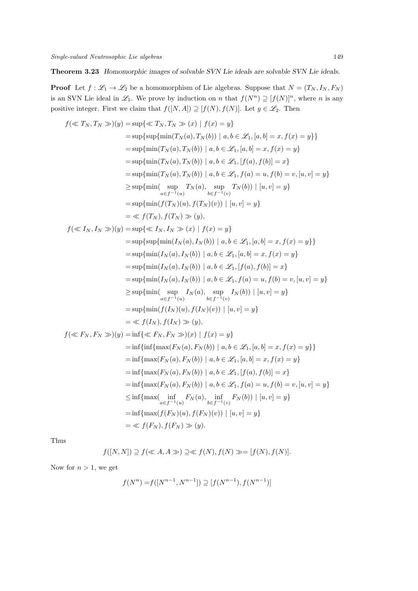Theorem 3.23 *Homomorphic images of solvable SVN Lie ideals are solvable SVN Lie ideals.*

**Proof** Let  $f : \mathcal{L}_1 \to \mathcal{L}_2$  be a homomorphism of Lie algebras. Suppose that  $N = (T_N, I_N, F_N)$ is an SVN Lie ideal in  $\mathscr{L}_1$ . We prove by induction on n that  $f(N^n) \supseteq [f(N)]^n$ , where n is any positive integer. First we claim that  $f([N, A]) \supseteq [f(N), f(N)]$ . Let  $y \in \mathscr{L}_2$ . Then

$$
f(\ll T_N, T_N \gg)(y) = \sup\{\ll T_N, T_N \gg (x) | f(x) = y\}
$$
  
\n
$$
= \sup\{\sup\{\min(T_N(a), T_N(b)) | a, b \in \mathcal{L}_1, [a, b] = x, f(x) = y\}\}
$$
  
\n
$$
= \sup\{\min(T_N(a), T_N(b)) | a, b \in \mathcal{L}_1, [a, b] = x, f(x) = y\}
$$
  
\n
$$
= \sup\{\min(T_N(a), T_N(b)) | a, b \in \mathcal{L}_1, [f(a), f(b)] = x\}
$$
  
\n
$$
= \sup\{\min(T_N(a), T_N(b)) | a, b \in \mathcal{L}_1, f(a) = u, f(b) = v, [u, v] = y\}
$$
  
\n
$$
\geq \sup\{\min(T_N(a), T_N(b)) | b, b \in \mathcal{L}_1, f(a) = u, f(b) = v, [u, v] = y\}
$$
  
\n
$$
\geq \sup\{\min(f(T_N)(u), f(T_N)(v)) | [u, v] = y\}
$$
  
\n
$$
= \sup\{\min(f(T_N)(u), f(T_N)(v)) | b, b \in \mathcal{L}_1, [a, b] = x, f(x) = y\}
$$
  
\n
$$
= \sup\{\sup\{\min(I_N(a), I_N(b)) | a, b \in \mathcal{L}_1, [a, b] = x, f(x) = y\}\}
$$
  
\n
$$
= \sup\{\min(I_N(a), I_N(b)) | a, b \in \mathcal{L}_1, [a, b] = x, f(x) = y\}
$$
  
\n
$$
= \sup\{\min(I_N(a), I_N(b)) | a, b \in \mathcal{L}_1, [f(a), f(b)] = x\}
$$
  
\n
$$
= \sup\{\min(I_N(a), I_N(b)) | b, b \in \mathcal{L}_1, f(a) = u, f(b) = v, [u, v] = y\}
$$
  
\n
$$
\geq \sup\{\min(f(I_N)(u), f(I_N)(v)) | [u, v] = y\}
$$
  
\n
$$
= \sup\{\min(f(I_N)(u), f(I_N)(v)) | b, b \in \mathcal{L}_1, f(a) = u, f(b) = v, [u, v] = y\}
$$
  
\n
$$
= \sup\
$$

Thus

$$
f([N,N]) \supseteq f(\ll A, A \gg) \supseteq \ll f(N), f(N) \gg = [f(N), f(N)].
$$

Now for  $n > 1$ , we get

$$
f(N^n) = f([N^{n-1}, N^{n-1}]) \supseteq [f(N^{n-1}), f(N^{n-1})]
$$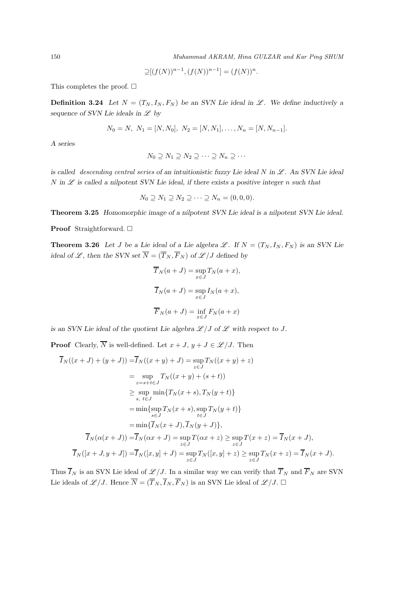150 Muhammad AKRAM, Hina GULZAR and Kar Ping SHUM

$$
\supseteq [(f(N))^{n-1}, (f(N))^{n-1}] = (f(N))^{n}.
$$

This completes the proof.  $\square$ 

**Definition 3.24** Let  $N = (T_N, I_N, F_N)$  be an SVN Lie ideal in  $\mathcal{L}$ . We define inductively a *sequence of SVN Lie ideals in*  $\mathscr L$  *by* 

$$
N_0 = N, N_1 = [N, N_0], N_2 = [N, N_1], \dots, N_n = [N, N_{n-1}].
$$

*A series*

$$
N_0 \supseteq N_1 \supseteq N_2 \supseteq \cdots \supseteq N_n \supseteq \cdots
$$

*is called descending central series of an intuitionistic fuzzy Lie ideal N in*  $\mathcal{L}$ *. An SVN Lie ideal*  $N$  in  $\mathscr L$  is called a nilpotent SVN Lie ideal, if there exists a positive integer n such that

$$
N_0 \supseteq N_1 \supseteq N_2 \supseteq \cdots \supseteq N_n = (0,0,0).
$$

Theorem 3.25 *Homomorphic image of a nilpotent SVN Lie ideal is a nilpotent SVN Lie ideal.*

Proof Straightforward. □

**Theorem 3.26** Let *J* be a Lie ideal of a Lie algebra  $\mathcal{L}$ . If  $N = (T_N, I_N, F_N)$  is an SVN Lie *ideal of*  $\mathscr{L}$ *, then the SVN set*  $\overline{N} = (\overline{T}_N, \overline{F}_N)$  *of*  $\mathscr{L}/J$  *defined by* 

$$
\overline{T}_N(a+J) = \sup_{x \in J} T_N(a+x),
$$
  

$$
\overline{I}_N(a+J) = \sup_{x \in J} I_N(a+x),
$$
  

$$
\overline{F}_N(a+J) = \inf_{x \in J} F_N(a+x)
$$

*is an SVN Lie ideal of the quotient Lie algebra*  $\mathscr{L}/J$  *of*  $\mathscr{L}$  *with respect to*  $J$ *.* 

**Proof** Clearly,  $\overline{N}$  is well-defined. Let  $x + J$ ,  $y + J \in \mathcal{L}/J$ . Then

$$
\overline{I}_{N}((x+J) + (y+J)) = \overline{I}_{N}((x+y)+J) = \sup_{z \in J} T_{N}((x+y)+z)
$$
\n
$$
= \sup_{z=s+t \in J} T_{N}((x+y)+(s+t))
$$
\n
$$
\geq \sup_{s, t \in J} \min\{T_{N}(x+s), T_{N}(y+t)\}
$$
\n
$$
= \min\{\sup_{s \in J} T_{N}(x+s), \sup_{t \in J} T_{N}(y+t)\}
$$
\n
$$
= \min\{\overline{I}_{N}(x+J), \overline{I}_{N}(y+J)\},
$$
\n
$$
\overline{I}_{N}(\alpha(x+J)) = \overline{I}_{N}(\alpha x+J) = \sup_{z \in J} T(\alpha x+z) \geq \sup_{z \in J} T(x+z) = \overline{I}_{N}(x+J),
$$
\n
$$
\overline{I}_{N}([x+J, y+J]) = \overline{I}_{N}([x, y]+J) = \sup_{z \in J} T_{N}([x, y]+z) \geq \sup_{z \in J} T_{N}(x+z) = \overline{I}_{N}(x+J).
$$

Thus  $\overline{I}_N$  is an SVN Lie ideal of  $\mathscr{L}/J$ . In a similar way we can verify that  $\overline{I}_N$  and  $\overline{F}_N$  are SVN Lie ideals of  $\mathscr{L}/J$ . Hence  $\overline{N} = (\overline{T}_N, \overline{I}_N, \overline{F}_N)$  is an SVN Lie ideal of  $\mathscr{L}/J$ .  $\Box$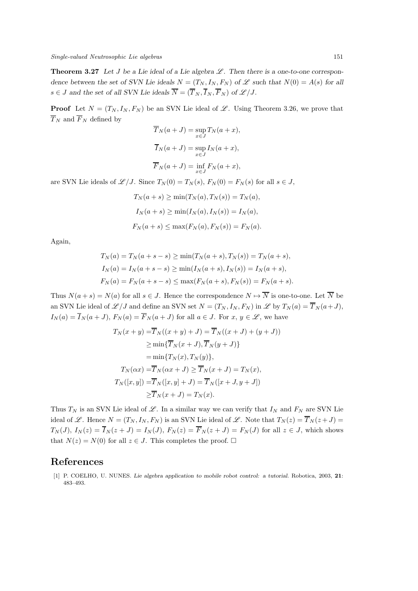**Theorem 3.27** Let  $J$  be a Lie ideal of a Lie algebra  $\mathscr{L}$ . Then there is a one-to-one correspon*dence between the set of SVN Lie ideals*  $N = (T_N, I_N, F_N)$  *of*  $\mathscr L$  *such that*  $N(0) = A(s)$  *for all*  $s \in J$  and the set of all SVN Lie ideals  $\overline{N} = (\overline{T}_N, \overline{I}_N, \overline{F}_N)$  of  $\mathscr{L}/J$ .

**Proof** Let  $N = (T_N, I_N, F_N)$  be an SVN Lie ideal of  $\mathscr{L}$ . Using Theorem 3.26, we prove that  $\overline{T}_N$  and  $\overline{F}_N$  defined by

$$
\overline{T}_N(a+J) = \sup_{x \in J} T_N(a+x),
$$
  

$$
\overline{I}_N(a+J) = \sup_{x \in J} I_N(a+x),
$$
  

$$
\overline{F}_N(a+J) = \inf_{x \in J} F_N(a+x),
$$

are SVN Lie ideals of  $\mathscr{L}/J$ . Since  $T_N(0) = T_N(s)$ ,  $F_N(0) = F_N(s)$  for all  $s \in J$ ,

$$
T_N(a+s) \ge \min(T_N(a), T_N(s)) = T_N(a),
$$
  
\n
$$
I_N(a+s) \ge \min(I_N(a), I_N(s)) = I_N(a),
$$
  
\n
$$
F_N(a+s) \le \max(F_N(a), F_N(s)) = F_N(a).
$$

Again,

$$
T_N(a) = T_N(a + s - s) \ge \min(T_N(a + s), T_N(s)) = T_N(a + s),
$$
  
\n
$$
I_N(a) = I_N(a + s - s) \ge \min(I_N(a + s), I_N(s)) = I_N(a + s),
$$
  
\n
$$
F_N(a) = F_N(a + s - s) \le \max(F_N(a + s), F_N(s)) = F_N(a + s).
$$

Thus  $N(a + s) = N(a)$  for all  $s \in J$ . Hence the correspondence  $N \mapsto \overline{N}$  is one-to-one. Let  $\overline{N}$  be an SVN Lie ideal of  $\mathscr{L}/J$  and define an SVN set  $N = (T_N, I_N, F_N)$  in  $\mathscr{L}$  by  $T_N(a) = \overline{T}_N(a+J)$ ,  $I_N(a) = \overline{I}_N(a+J), F_N(a) = \overline{F}_N(a+J)$  for all  $a \in J$ . For  $x, y \in \mathscr{L}$ , we have

$$
T_N(x + y) = \overline{T}_N((x + y) + J) = \overline{T}_N((x + J) + (y + J))
$$
  
\n
$$
\geq \min{\{\overline{T}_N(x + J), \overline{T}_N(y + J)\}}
$$
  
\n
$$
= \min{\{T_N(x), T_N(y)\}},
$$
  
\n
$$
T_N(\alpha x) = \overline{T}_N(\alpha x + J) \geq \overline{T}_N(x + J) = T_N(x),
$$
  
\n
$$
T_N([x, y]) = \overline{T}_N([x, y] + J) = \overline{T}_N([x + J, y + J])
$$
  
\n
$$
\geq \overline{T}_N(x + J) = T_N(x).
$$

Thus  $T_N$  is an SVN Lie ideal of  $\mathscr{L}$ . In a similar way we can verify that  $I_N$  and  $F_N$  are SVN Lie ideal of L. Hence  $N = (T_N, I_N, F_N)$  is an SVN Lie ideal of L. Note that  $T_N(z) = \overline{T}_N(z + J)$  $T_N(J)$ ,  $I_N(z) = \overline{I}_N(z+J) = I_N(J)$ ,  $F_N(z) = \overline{F}_N(z+J) = F_N(J)$  for all  $z \in J$ , which shows that  $N(z) = N(0)$  for all  $z \in J$ . This completes the proof.  $\square$ 

# References

[1] P. COELHO, U. NUNES. Lie algebra application to mobile robot control: a tutorial. Robotica, 2003, 21: 483–493.